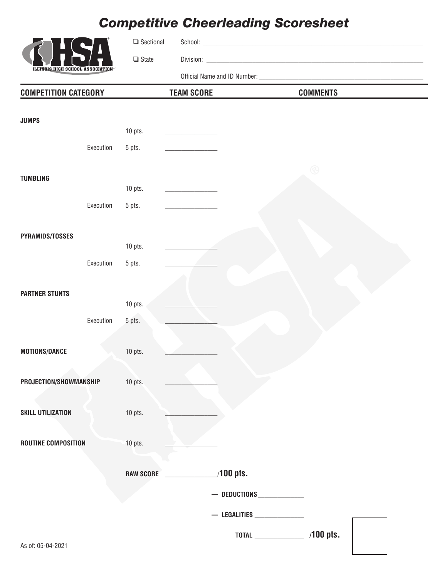# *Competitive Cheerleading Scoresheet*



❏ Sectional School: \_\_\_\_\_\_\_\_\_\_\_\_\_\_\_\_\_\_\_\_\_\_\_\_\_\_\_\_\_\_\_\_\_\_\_\_\_\_\_\_\_\_\_\_\_\_\_\_\_\_\_\_\_\_\_\_\_\_\_\_\_\_\_\_\_\_\_

❏ State Division: \_\_\_\_\_\_\_\_\_\_\_\_\_\_\_\_\_\_\_\_\_\_\_\_\_\_\_\_\_\_\_\_\_\_\_\_\_\_\_\_\_\_\_\_\_\_\_\_\_\_\_\_\_\_\_\_\_\_\_\_\_\_\_\_\_\_

Official Name and ID Number: \_\_\_\_\_\_\_\_\_\_\_\_\_\_\_\_\_\_\_\_\_\_\_\_\_\_\_\_\_\_\_\_\_\_\_\_\_\_\_\_\_\_\_\_\_\_\_\_\_\_

| <b>COMPETITION CATEGORY</b> |                  | <b>TEAM SCORE</b>  | <b>COMMENTS</b>       |  |
|-----------------------------|------------------|--------------------|-----------------------|--|
| <b>JUMPS</b>                |                  |                    |                       |  |
|                             | 10 pts.          |                    |                       |  |
| Execution                   | 5 pts.           |                    |                       |  |
|                             |                  |                    | $\circledR$           |  |
| <b>TUMBLING</b>             |                  |                    |                       |  |
|                             | 10 pts.          |                    |                       |  |
| Execution                   | 5 pts.           |                    |                       |  |
| PYRAMIDS/TOSSES             |                  |                    |                       |  |
|                             | 10 pts.          |                    |                       |  |
| Execution                   | 5 pts.           |                    |                       |  |
|                             |                  |                    |                       |  |
| <b>PARTNER STUNTS</b>       |                  |                    |                       |  |
|                             | $10$ pts.        |                    |                       |  |
| Execution                   | 5 pts.           |                    |                       |  |
|                             |                  |                    |                       |  |
| MOTIONS/DANCE               | 10 pts.          |                    |                       |  |
|                             |                  |                    |                       |  |
| PROJECTION/SHOWMANSHIP      | 10 pts.          |                    |                       |  |
|                             |                  |                    |                       |  |
| SKILL UTILIZATION           | $10$ pts.        |                    |                       |  |
| ROUTINE COMPOSITION         | 10 pts.          |                    |                       |  |
|                             |                  |                    |                       |  |
|                             | <b>RAW SCORE</b> | $100$ pts.         |                       |  |
|                             |                  |                    | $-$ deductions $\_\_$ |  |
|                             |                  | $-$ Legalities $-$ |                       |  |
|                             |                  |                    | /100 pts.             |  |
| As of: 05-04-2021           |                  |                    |                       |  |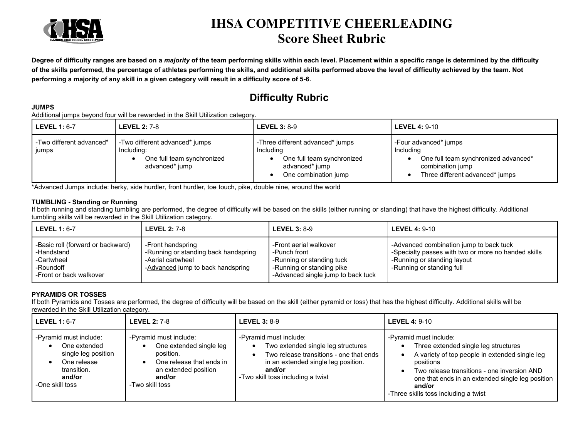

## **IHSA COMPETITIVE CHEERLEADING Score Sheet Rubric**

**Degree of difficulty ranges are based on a** *majority* **of the team performing skills within each level. Placement within a specific range is determined by the difficulty of the skills performed, the percentage of athletes performing the skills, and additional skills performed above the level of difficulty achieved by the team. Not performing a majority of any skill in a given category will result in a difficulty score of 5-6.** 

### **Difficulty Rubric**

#### **JUMPS**

Additional jumps beyond four will be rewarded in the Skill Utilization category.

| <b>LEVEL 1: 6-7</b>               | <b>LEVEL 2: 7-8</b>                                                                          | <b>LEVEL 3: 8-9</b>                                                                                                   | LEVEL 4: $9-10$                                                                                                                   |
|-----------------------------------|----------------------------------------------------------------------------------------------|-----------------------------------------------------------------------------------------------------------------------|-----------------------------------------------------------------------------------------------------------------------------------|
| -Two different advanced*<br>jumps | -Two different advanced* jumps<br>Including:<br>One full team synchronized<br>advanced* jump | -Three different advanced* jumps<br>Including<br>One full team synchronized<br>advanced* jump<br>One combination jump | -Four advanced* jumps<br>Including<br>One full team synchronized advanced*<br>combination jump<br>Three different advanced* jumps |

\*Advanced Jumps include: herky, side hurdler, front hurdler, toe touch, pike, double nine, around the world

#### **TUMBLING - Standing or Running**

If both running and standing tumbling are performed, the degree of difficulty will be based on the skills (either running or standing) that have the highest difficulty. Additional tumbling skills will be rewarded in the Skill Utilization category.

| <b>LEVEL 1: 6-7</b>                                                                                   | <b>LEVEL 2: 7-8</b>                                                                                                 | LEVEL $3:8-9$                                                                                                                          | LEVEL 4: $9-10$                                                                                                                                            |
|-------------------------------------------------------------------------------------------------------|---------------------------------------------------------------------------------------------------------------------|----------------------------------------------------------------------------------------------------------------------------------------|------------------------------------------------------------------------------------------------------------------------------------------------------------|
| -Basic roll (forward or backward)<br>-Handstand<br>-Cartwheel<br>-Roundoff<br>-Front or back walkover | -Front handspring<br>-Running or standing back handspring<br>-Aerial cartwheel<br>-Advanced jump to back handspring | -Front aerial walkover<br>-Punch front<br>-Running or standing tuck<br>-Running or standing pike<br>-Advanced single jump to back tuck | -Advanced combination jump to back tuck<br>-Specialty passes with two or more no handed skills<br>-Running or standing layout<br>-Running or standing full |

#### **PYRAMIDS OR TOSSES**

If both Pyramids and Tosses are performed, the degree of difficulty will be based on the skill (either pyramid or toss) that has the highest difficulty. Additional skills will be rewarded in the Skill Utilization category.

| <b>LEVEL 1: 6-7</b>                                                                                                      | <b>LEVEL 2: 7-8</b>                                                                                                                             | <b>LEVEL 3: 8-9</b>                                                                                                                                                                           | <b>LEVEL 4: 9-10</b>                                                                                                                                                                                                                                                                            |
|--------------------------------------------------------------------------------------------------------------------------|-------------------------------------------------------------------------------------------------------------------------------------------------|-----------------------------------------------------------------------------------------------------------------------------------------------------------------------------------------------|-------------------------------------------------------------------------------------------------------------------------------------------------------------------------------------------------------------------------------------------------------------------------------------------------|
| -Pyramid must include:<br>One extended<br>single leg position<br>One release<br>transition.<br>and/or<br>-One skill toss | -Pyramid must include:<br>One extended single leg<br>position.<br>One release that ends in<br>an extended position<br>and/or<br>-Two skill toss | -Pyramid must include:<br>Two extended single leg structures<br>Two release transitions - one that ends<br>in an extended single leg position.<br>and/or<br>-Two skill toss including a twist | -Pyramid must include:<br>Three extended single leg structures<br>A variety of top people in extended single leg<br>$\bullet$<br>positions<br>Two release transitions - one inversion AND<br>one that ends in an extended single leg position<br>and/or<br>-Three skills toss including a twist |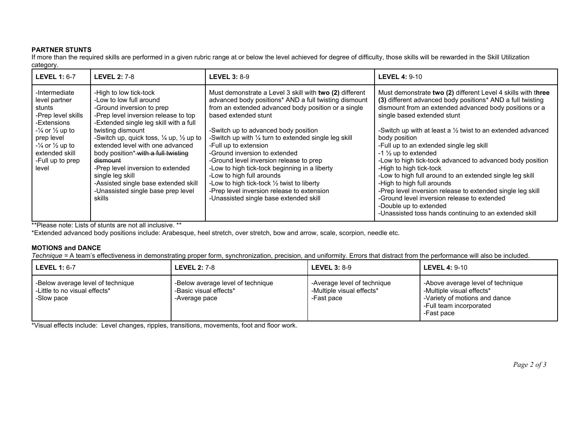#### **PARTNER STUNTS**

If more than the required skills are performed in a given rubric range at or below the level achieved for degree of difficulty, those skills will be rewarded in the Skill Utilization category.

| <b>LEVEL 1: 6-7</b>                                                                                                                                                                     | <b>LEVEL 2: 7-8</b>                                                                                                                                                                                                                                                                                                                                                                                                                                                                            | <b>LEVEL 3: 8-9</b>                                                                                                                                                                                                                                                                                                                                                                                                                                                                                                                                                                                                        | <b>LEVEL 4: 9-10</b>                                                                                                                                                                                                                                                                                                                                                                                                                                                                                                                                                                                                                                                                                                                                                             |
|-----------------------------------------------------------------------------------------------------------------------------------------------------------------------------------------|------------------------------------------------------------------------------------------------------------------------------------------------------------------------------------------------------------------------------------------------------------------------------------------------------------------------------------------------------------------------------------------------------------------------------------------------------------------------------------------------|----------------------------------------------------------------------------------------------------------------------------------------------------------------------------------------------------------------------------------------------------------------------------------------------------------------------------------------------------------------------------------------------------------------------------------------------------------------------------------------------------------------------------------------------------------------------------------------------------------------------------|----------------------------------------------------------------------------------------------------------------------------------------------------------------------------------------------------------------------------------------------------------------------------------------------------------------------------------------------------------------------------------------------------------------------------------------------------------------------------------------------------------------------------------------------------------------------------------------------------------------------------------------------------------------------------------------------------------------------------------------------------------------------------------|
| -Intermediate<br>level partner<br>stunts<br>-Prep level skills<br>-Extensions<br>$-$ ½ or ½ up to<br>prep level<br>$-1/4$ or $1/2$ up to<br>extended skill<br>-Full up to prep<br>level | -High to low tick-tock<br>-Low to low full around<br>-Ground inversion to prep<br>-Prep level inversion release to top<br>-Extended single leg skill with a full<br>twisting dismount<br>-Switch up, quick toss, $\frac{1}{4}$ up, $\frac{1}{2}$ up to<br>extended level with one advanced<br>body position* with a full twisting<br>dismount<br>-Prep level inversion to extended<br>single leg skill<br>-Assisted single base extended skill<br>-Unassisted single base prep level<br>skills | Must demonstrate a Level 3 skill with two (2) different<br>advanced body positions* AND a full twisting dismount<br>from an extended advanced body position or a single<br>based extended stunt<br>-Switch up to advanced body position<br>-Switch up with 1/4 turn to extended single leg skill<br>-Full up to extension<br>-Ground inversion to extended<br>-Ground level inversion release to prep<br>-Low to high tick-tock beginning in a liberty<br>-Low to high full arounds<br>-Low to high tick-tock 1/2 twist to liberty<br>-Prep level inversion release to extension<br>-Unassisted single base extended skill | Must demonstrate two (2) different Level 4 skills with three<br>(3) different advanced body positions* AND a full twisting<br>dismount from an extended advanced body positions or a<br>single based extended stunt<br>-Switch up with at least a $\frac{1}{2}$ twist to an extended advanced<br>body position<br>-Full up to an extended single leg skill<br>-1 $\frac{1}{2}$ up to extended<br>-Low to high tick-tock advanced to advanced body position<br>-High to high tick-tock<br>-Low to high full around to an extended single leg skill<br>-High to high full arounds<br>-Prep level inversion release to extended single leg skill<br>-Ground level inversion release to extended<br>-Double up to extended<br>-Unassisted toss hands continuing to an extended skill |

\*\*Please note: Lists of stunts are not all inclusive. \*\*

\*Extended advanced body positions include: Arabesque, heel stretch, over stretch, bow and arrow, scale, scorpion, needle etc.

#### **MOTIONS and DANCE**

*Technique =* A team's effectiveness in demonstrating proper form, synchronization, precision, and uniformity. Errors that distract from the performance will also be included.

| l LEVEL 1: 6-7                                                                   | <b>LEVEL 2: 7-8</b>                                                          | LEVEL 3: $8-9$                                                         | <b>LEVEL 4: 9-10</b>                                                                                                                     |
|----------------------------------------------------------------------------------|------------------------------------------------------------------------------|------------------------------------------------------------------------|------------------------------------------------------------------------------------------------------------------------------------------|
| -Below average level of technique<br>-Little to no visual effects*<br>-Slow pace | -Below average level of technique<br>-Basic visual effects*<br>-Average pace | -Average level of technique<br>-Multiple visual effects*<br>-Fast pace | -Above average level of technique<br>-Multiple visual effects*<br>-Variety of motions and dance<br>-Full team incorporated<br>-Fast pace |

\*Visual effects include: Level changes, ripples, transitions, movements, foot and floor work.